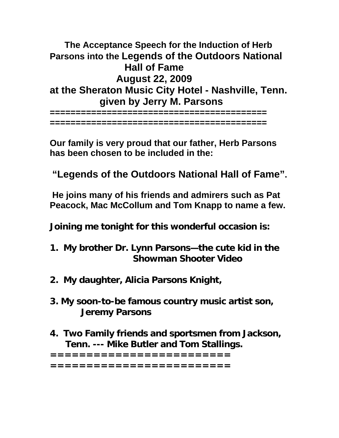**The Acceptance Speech for the Induction of Herb Parsons into the Legends of the Outdoors National Hall of Fame August 22, 2009 at the Sheraton Music City Hotel - Nashville, Tenn. given by Jerry M. Parsons**

**========================================== ==========================================** 

**Our family is very proud that our father, Herb Parsons has been chosen to be included in the:** 

**"Legends of the Outdoors National Hall of Fame".** 

 **He joins many of his friends and admirers such as Pat Peacock, Mac McCollum and Tom Knapp to name a few.** 

**Joining me tonight for this wonderful occasion is:** 

- **1. My brother Dr. Lynn Parsons—the cute kid in the Showman Shooter Video**
- **2. My daughter, Alicia Parsons Knight,**
- **3. My soon-to-be famous country music artist son, Jeremy Parsons**
- **4. Two Family friends and sportsmen from Jackson, Tenn. --- Mike Butler and Tom Stallings.**

**========================= =========================**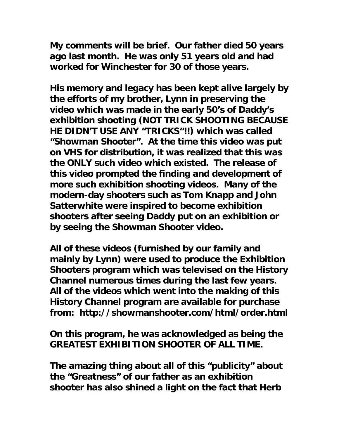**My comments will be brief. Our father died 50 years ago last month. He was only 51 years old and had worked for Winchester for 30 of those years.** 

**His memory and legacy has been kept alive largely by the efforts of my brother, Lynn in preserving the video which was made in the early 50's of Daddy's exhibition shooting (NOT TRICK SHOOTING BECAUSE HE DIDN'T USE ANY "TRICKS"!!) which was called "Showman Shooter". At the time this video was put on VHS for distribution, it was realized that this was the ONLY such video which existed. The release of this video prompted the finding and development of more such exhibition shooting videos. Many of the modern-day shooters such as Tom Knapp and John Satterwhite were inspired to become exhibition shooters after seeing Daddy put on an exhibition or by seeing the Showman Shooter video.** 

**All of these videos (furnished by our family and mainly by Lynn) were used to produce the Exhibition Shooters program which was televised on the History Channel numerous times during the last few years. All of the videos which went into the making of this History Channel program are available for purchase from: http://showmanshooter.com/html/order.html** 

**On this program, he was acknowledged as being the GREATEST EXHIBITION SHOOTER OF ALL TIME.** 

**The amazing thing about all of this "publicity" about the "Greatness" of our father as an exhibition shooter has also shined a light on the fact that Herb**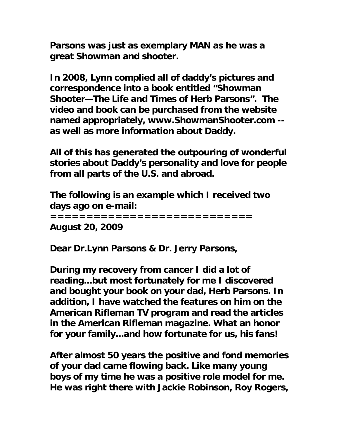**Parsons was just as exemplary MAN as he was a great Showman and shooter.** 

**In 2008, Lynn complied all of daddy's pictures and correspondence into a book entitled "Showman Shooter—The Life and Times of Herb Parsons". The video and book can be purchased from the website named appropriately, www.ShowmanShooter.com - as well as more information about Daddy.** 

**All of this has generated the outpouring of wonderful stories about Daddy's personality and love for people from all parts of the U.S. and abroad.** 

**The following is an example which I received two days ago on e-mail:** 

**============================** 

**August 20, 2009** 

**Dear Dr.Lynn Parsons & Dr. Jerry Parsons,** 

**During my recovery from cancer I did a lot of reading...but most fortunately for me I discovered and bought your book on your dad, Herb Parsons. In addition, I have watched the features on him on the American Rifleman TV program and read the articles in the American Rifleman magazine. What an honor for your family...and how fortunate for us, his fans!** 

**After almost 50 years the positive and fond memories of your dad came flowing back. Like many young boys of my time he was a positive role model for me. He was right there with Jackie Robinson, Roy Rogers,**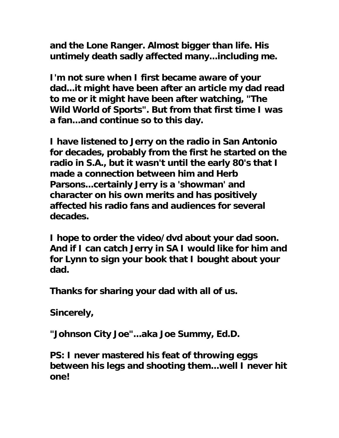**and the Lone Ranger. Almost bigger than life. His untimely death sadly affected many...including me.** 

**I'm not sure when I first became aware of your dad...it might have been after an article my dad read to me or it might have been after watching, "The Wild World of Sports". But from that first time I was a fan...and continue so to this day.** 

**I have listened to Jerry on the radio in San Antonio for decades, probably from the first he started on the radio in S.A., but it wasn't until the early 80's that I made a connection between him and Herb Parsons...certainly Jerry is a 'showman' and character on his own merits and has positively affected his radio fans and audiences for several decades.** 

**I hope to order the video/dvd about your dad soon. And if I can catch Jerry in SA I would like for him and for Lynn to sign your book that I bought about your dad.** 

**Thanks for sharing your dad with all of us.** 

**Sincerely,** 

**"Johnson City Joe"...aka Joe Summy, Ed.D.** 

**PS: I never mastered his feat of throwing eggs between his legs and shooting them...well I never hit one!**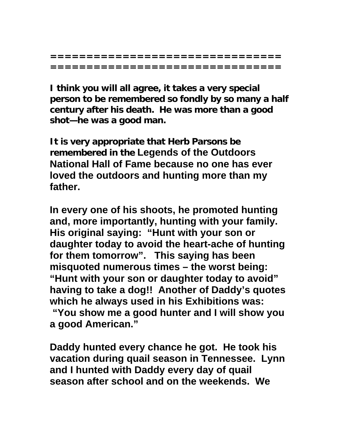**================================ ================================** 

**I think you will all agree, it takes a very special person to be remembered so fondly by so many a half century after his death. He was more than a good shot—he was a good man.** 

**It is very appropriate that Herb Parsons be remembered in the Legends of the Outdoors National Hall of Fame because no one has ever loved the outdoors and hunting more than my father.** 

**In every one of his shoots, he promoted hunting and, more importantly, hunting with your family. His original saying: "Hunt with your son or daughter today to avoid the heart-ache of hunting for them tomorrow". This saying has been misquoted numerous times – the worst being: "Hunt with your son or daughter today to avoid" having to take a dog!! Another of Daddy's quotes which he always used in his Exhibitions was:** 

 **"You show me a good hunter and I will show you a good American."** 

**Daddy hunted every chance he got. He took his vacation during quail season in Tennessee. Lynn and I hunted with Daddy every day of quail season after school and on the weekends. We**